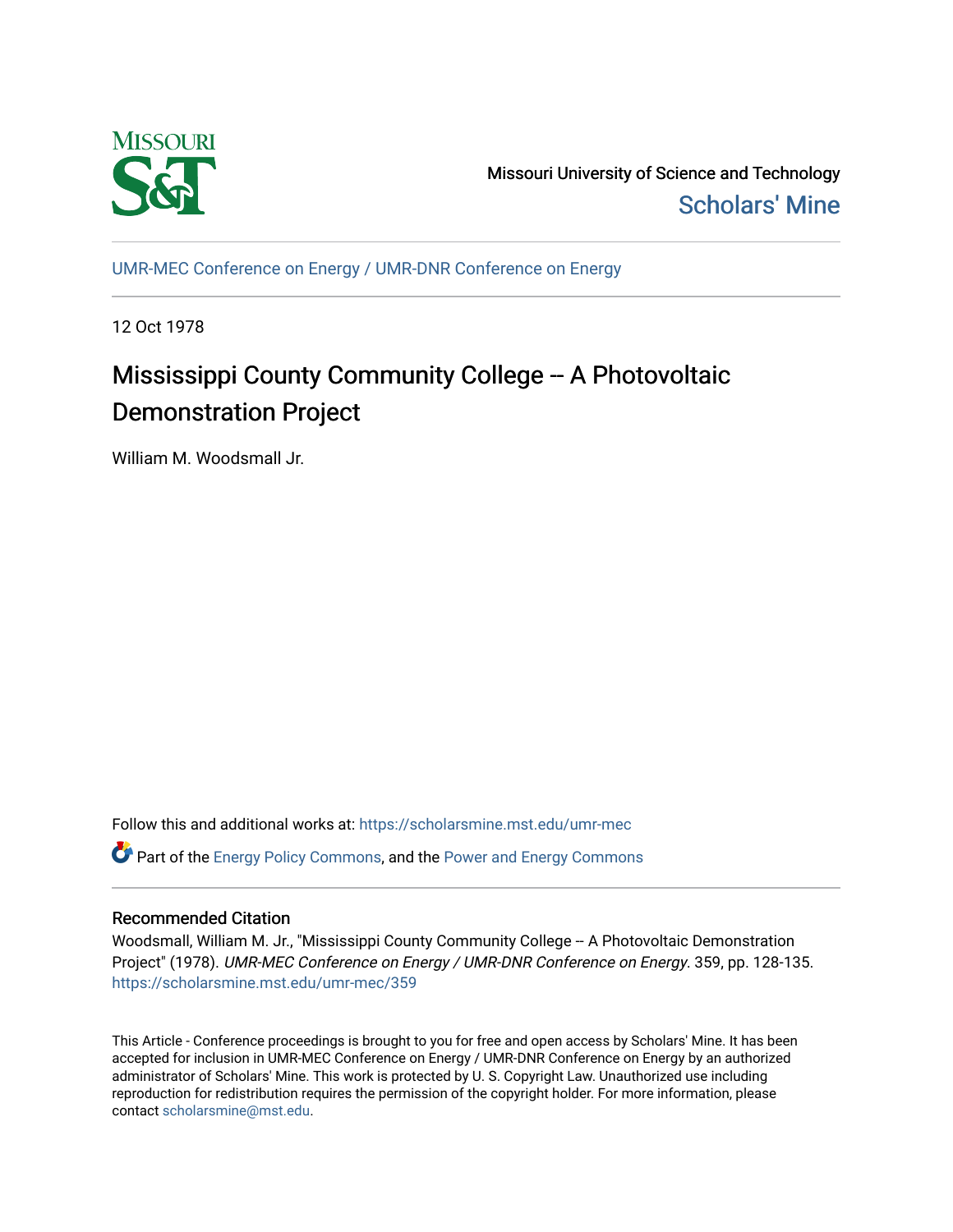

Missouri University of Science and Technology [Scholars' Mine](https://scholarsmine.mst.edu/) 

[UMR-MEC Conference on Energy / UMR-DNR Conference on Energy](https://scholarsmine.mst.edu/umr-mec)

12 Oct 1978

# Mississippi County Community College -- A Photovoltaic Demonstration Project

William M. Woodsmall Jr.

Follow this and additional works at: [https://scholarsmine.mst.edu/umr-mec](https://scholarsmine.mst.edu/umr-mec?utm_source=scholarsmine.mst.edu%2Fumr-mec%2F359&utm_medium=PDF&utm_campaign=PDFCoverPages)   $\bullet$  Part of the [Energy Policy Commons](http://network.bepress.com/hgg/discipline/1065?utm_source=scholarsmine.mst.edu%2Fumr-mec%2F359&utm_medium=PDF&utm_campaign=PDFCoverPages), and the Power and Energy Commons

## Recommended Citation

Woodsmall, William M. Jr., "Mississippi County Community College -- A Photovoltaic Demonstration Project" (1978). UMR-MEC Conference on Energy / UMR-DNR Conference on Energy. 359, pp. 128-135. [https://scholarsmine.mst.edu/umr-mec/359](https://scholarsmine.mst.edu/umr-mec/359?utm_source=scholarsmine.mst.edu%2Fumr-mec%2F359&utm_medium=PDF&utm_campaign=PDFCoverPages) 

This Article - Conference proceedings is brought to you for free and open access by Scholars' Mine. It has been accepted for inclusion in UMR-MEC Conference on Energy / UMR-DNR Conference on Energy by an authorized administrator of Scholars' Mine. This work is protected by U. S. Copyright Law. Unauthorized use including reproduction for redistribution requires the permission of the copyright holder. For more information, please contact [scholarsmine@mst.edu](mailto:scholarsmine@mst.edu).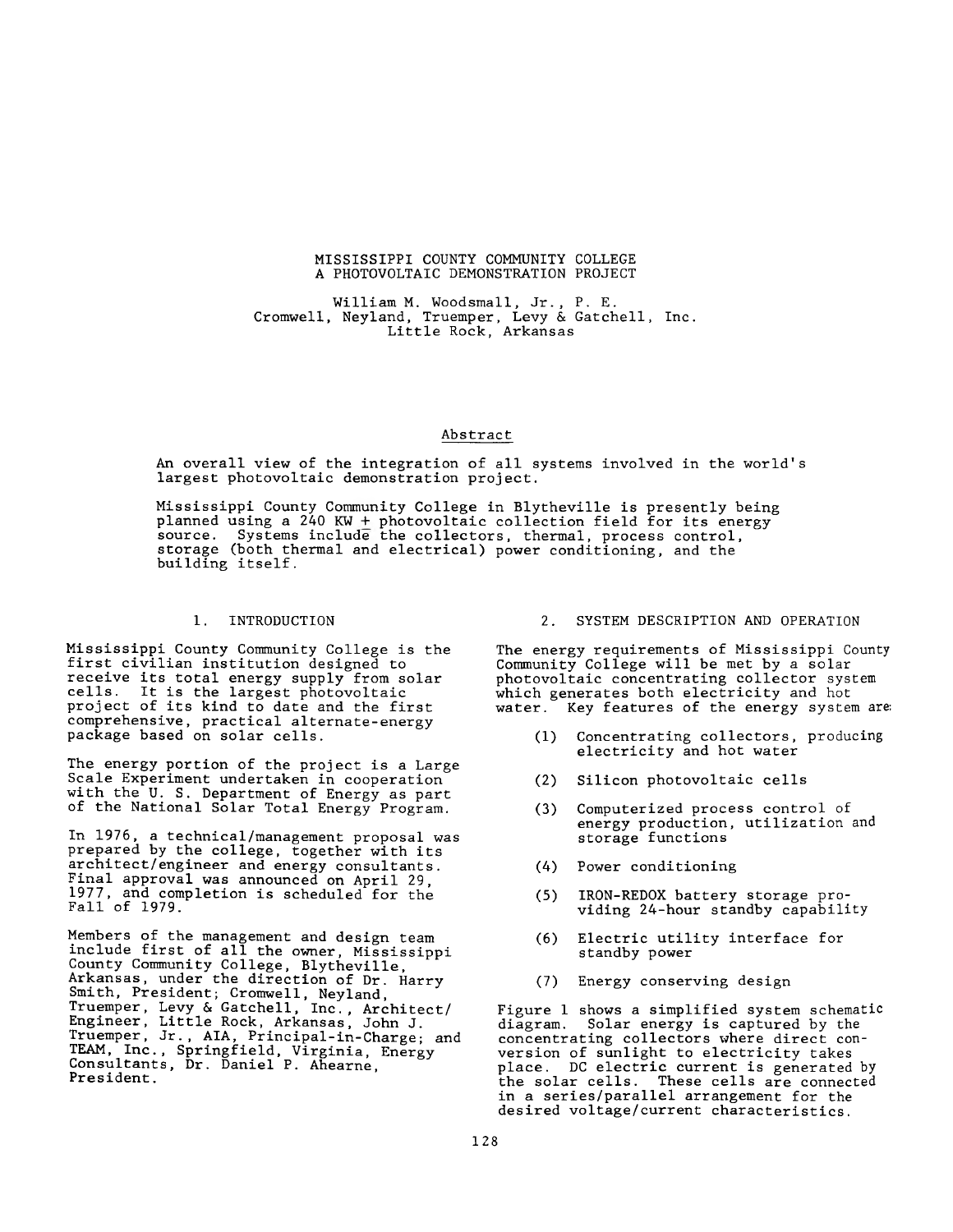#### MISSISSIPPI COUNTY COMMUNITY COLLEGE A PHOTOVOLTAIC DEMONSTRATION PROJECT

William M. Woodsmall, Jr., P. E. Cromwell, Neyland, Truemper, Levy & Gatchell, Inc. Little Rock, Arkansas

## Abstract

An overall view of the integration of all systems involved in the world's largest photovoltaic demonstration project.

Mississippi County Community College in Blytheville is presently being planned using a 240 KW  $\pm$  photovoltaic collection field for its energy source. Systems include the collectors, thermal, process control, storage (both thermal and electrical) power conditioning, and the building itself.

## 1. INTRODUCTION

Mississippi County Community College is the first civilian institution designed to receive its total energy supply from solar cells. It is the largest photovoltaic project of its kind to date and the first comprehensive, practical alternate-energy package based on solar cells.

The energy portion of the project is a Large Scale Experiment undertaken in cooperation with the U. S. Department of Energy as part of the National Solar Total Energy Program.

In 1976, a technical/management proposal was prepared by the college, together with its architect/engineer and energy consultants. Final approval was announced on April 29, 1977, and completion is scheduled for the Fall of 1979.

Members of the management and design team include first of all the owner, Mississippi County Community College, Blytheville, Arkansas, under the direction of Dr. Harry Smith, President; Cromwell, Neyland, Truemper, Levy & Gatchell, Inc., Architect/ Engineer, Little Rock, Arkansas, John J. Truemper, Jr., AIA, Principal-in-Charge; and TEAM, Inc., Springfield, Virginia, Energy Consultants, Dr. Daniel P. Ahearne, President.

#### 2. SYSTEM DESCRIPTION AND OPERATION

The energy requirements of Mississippi County Community College will be met by a solar photovoltaic concentrating collector system which generates both electricity and hot water. Key features of the energy system are:

- (1) Concentrating collectors, producing electricity and hot water
- (2) Silicon photovoltaic cells
- (3) Computerized process control of energy production, utilization and storage functions
- (4) Power conditioning
- (5) IRON-REDOX battery storage providing 24-hour standby capability
- (6) Electric utility interface for standby power
- (7) Energy conserving design

Figure 1 shows a simplified system schematic diagram. Solar energy is captured by the concentrating collectors where direct conversion of sunlight to electricity takes place. DC electric current is generated by the solar cells. These cells are connected in a series/parallel arrangement for the desired voltage/current characteristics.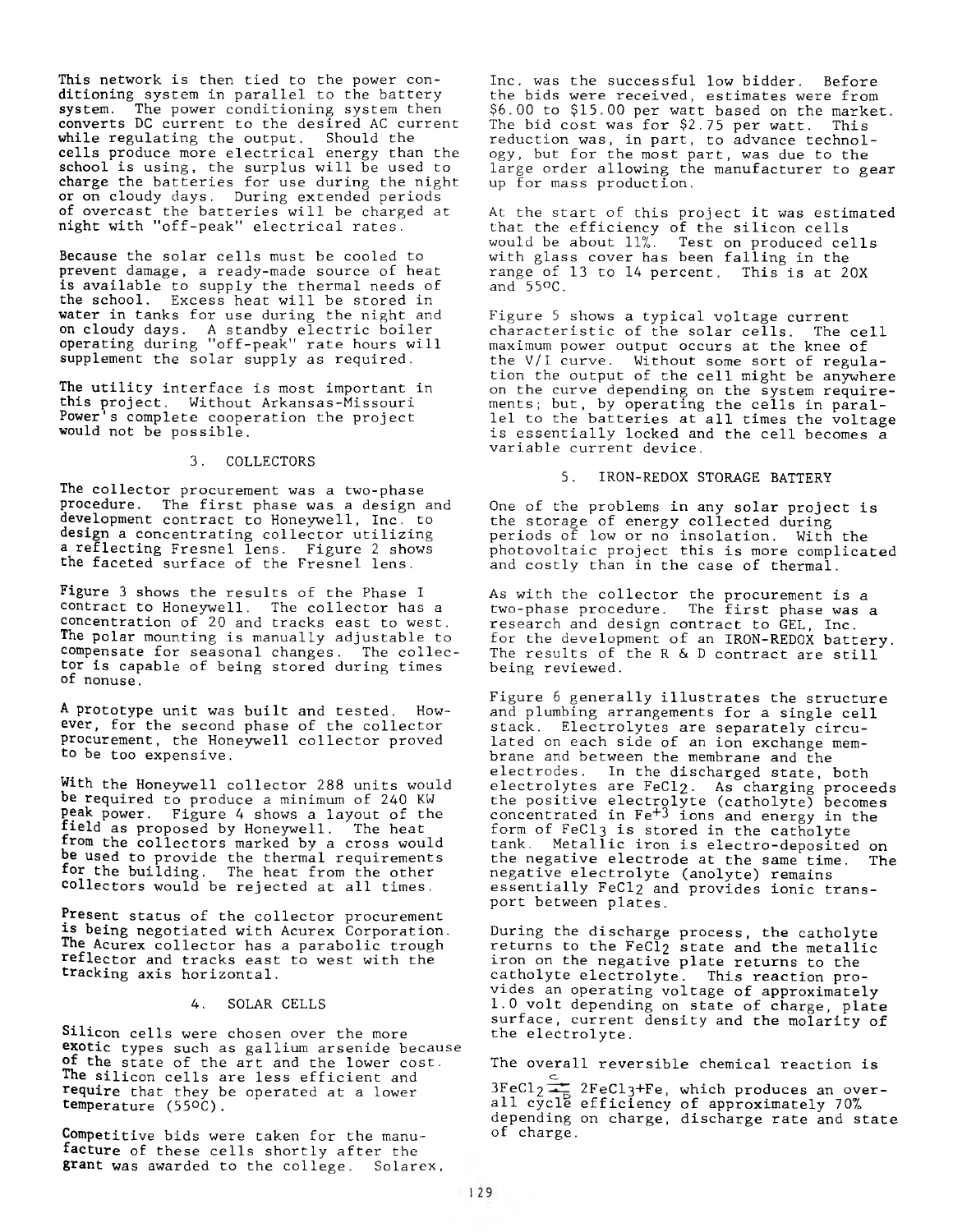This network is then tied to the power conditioning system in parallel to the battery system. The power conditioning system then converts DC current to the desired AC current while regulating the output. Should the cells produce more electrical energy than the school is using, the surplus will be used to charge the batteries for use during the night or on cloudy days. During extended periods of overcast the batteries will be charged at night with "off-peak" electrical rates.

Because the solar cells must be cooled to prevent damage, a ready-made source of heat is available to supply the thermal needs of the school. Excess heat will be stored in water in tanks for use during the night and on cloudy days. A standby electric boiler operating during "off-peak" rate hours will supplement the solar supply as required.

The utility interface is most important in this project. Without Arkansas-Missouri Power's complete cooperation the project would not be possible.

#### 3. COLLECTORS

The collector procurement was a two-phase procedure. The first phase was a design and development contract to Honeywell, Inc. to design a concentrating collector utilizing a reflecting Fresnel lens. Figure 2 shows the faceted surface of the Fresnel lens.

Figure 3 shows the results of the Phase I contract to Honeywell. The collector has a concentration of 20 and tracks east to west. The polar mounting is manually adjustable to compensate for seasonal changes. The collector is capable of being stored during times of nonuse.

A prototype unit was built and tested. However, for the second phase of the collector procurement, the Honeywell collector proved to be too expensive.

With the Honeywell collector 288 units would be required to produce a minimum of 240 KW peak power. Figure 4 shows a layout of the field as proposed by Honeywell. The heat from the collectors marked by a cross would be used to provide the thermal requirements for the building. The heat from the other collectors would be rejected at all times.

Present status of the collector procurement is being negotiated with Acurex Corporation. The Acurex collector has a parabolic trough reflector and tracks east to west with the tracking axis horizontal.

#### 4. SOLAR CELLS

Silicon cells were chosen over the more exotic types such as gallium arsenide because of the state of the art and the lower cost. The silicon cells are less efficient and require that they be operated at a lower temperature (55°C).

Competitive bids were taken for the manufacture of these cells shortly after the grant was awarded to the college. Solarex,

Inc. was the successful low bidder. Before the bids were received, estimates were from \$6.00 to \$15.00 per watt based on the market. The bid cost was for \$2.75 per watt. This reduction was, in part, to advance technology, but for the most part, was due to the large order allowing the manufacturer to gear up for mass production.

At the start of this project it was estimated that the efficiency of the silicon cells would be about 11%. Test on produced cells with glass cover has been falling in the range of 13 to 14 percent. This is at 20X and 55°C.

Figure 5 shows a typical voltage current characteristic of the solar cells. The cell maximum power output occurs at the knee of the V/I curve. Without some sort of regulation the output of the cell might be anywhere on the curve depending on the system requirements; but, by operating the cells in parallel to the batteries at all times the voltage is essentially locked and the cell becomes a variable current device.

## 5. IRON-REDOX STORAGE BATTERY

One of the problems in any solar project is the storage of energy collected during periods of low or no insolation. With the photovoltaic project this is more complicated and costly than in the case of thermal.

As with the collector the procurement is a two-phase procedure. The first phase was a research and design contract to GEL, Inc. for the development of an IRON-REDOX battery. The results of the R & D contract are still being reviewed.

Figure 6 generally illustrates the structure and plumbing arrangements for a single cell stack. Electrolytes are separately circulated on each side of an ion exchange membrane and between the membrane and the electrodes. In the discharged state, both electrolytes are FeCl2- As charging proceeds the positive electrolyte (catholyte) becomes concentrated in  $\rm Fe^{+3}$  ions and energy in the form of FeCl3 is stored in the catholyte tank. Metallic iron is electro-deposited on the negative electrode at the same time. The negative electrolyte (anolyte) remains essentially FeCl2 and provides ionic transport between plates.

During the discharge process, the catholyte returns to the FeCl<sub>2</sub> state and the metallic iron on the negative plate returns to the catholyte electrolyte. This reaction provides an operating voltage of approximately 1.0 volt depending on state of charge, plate surface, current density and the molarity of the electrolyte.

The overall reversible chemical reaction is

 $3FeCl<sub>2</sub>$   $\frac{C}{46}$  2FeCl<sub>3</sub>+Fe, which produces an overall cycle efficiency of approximately 70%, depending on charge, discharge rate and state of charge.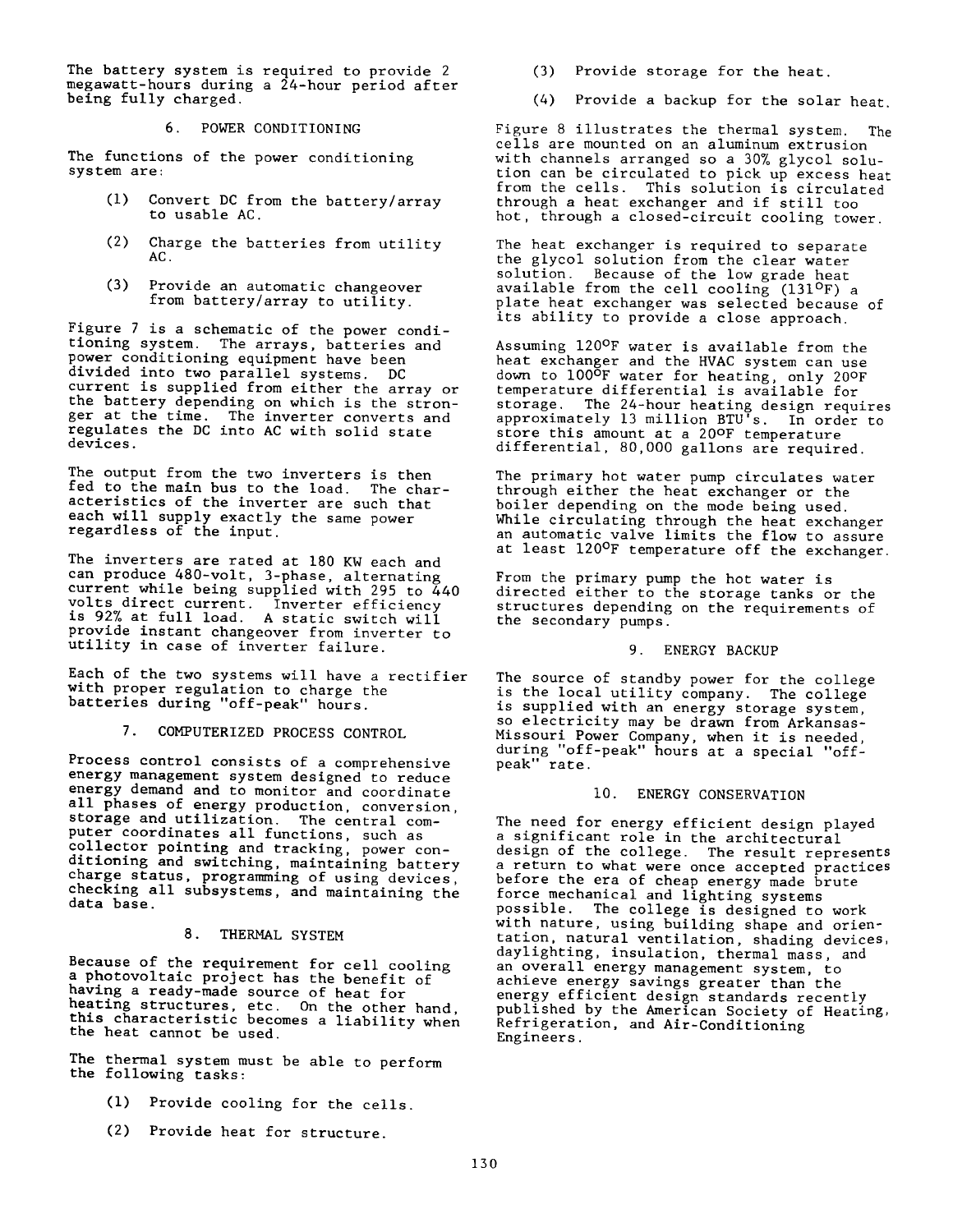The battery system is required to provide 2 megawatt-hours during a 24-hour period after being fully charged.

6. POWER CONDITIONING

The functions of the power conditioning system are:

- (1) Convert DC from the battery/array to usable AC.
- (2) Charge the batteries from utility AC.
- (3) Provide an automatic changeover from battery/array to utility.

Figure 7 is a schematic of the power conditioning system. The arrays, batteries and power conditioning equipment have been divided into two parallel systems. DC current is supplied from either the array or the battery depending on which is the stronger at the time. The inverter converts and regulates the DC into AC with solid state devices.

The output from the two inverters is then fed to the main bus to the load. The characteristics of the inverter are such that each will supply exactly the same power regardless of the input.

The inverters are rated at 180 KW each and can produce 480-volt, 3-phase, alternating current while being supplied with 295 to 440 volts^direct current. Inverter efficiency is 92% at full load. A static switch will provide instant changeover from inverter to utility in case of inverter failure.

Each of the two systems will have a rectifier with proper regulation to charge the batteries during "off-peak" hours.

7. COMPUTERIZED PROCESS CONTROL

Process control consists of a comprehensive energy management system designed to reduce energy demand and to monitor and coordinate all phases of energy production, conversion, storage and utilization. The central computer coordinates all functions, such as collector pointing and tracking, power conditioning and switching, maintaining battery charge status, programming of using devices, checking all subsystems, and maintaining the data base.

## 8. THERMAL SYSTEM

Because of the requirement for cell cooling a photovoltaic project has the benefit of having a ready-made source of heat for heating structures, etc. On the other hand, this characteristic becomes a liability when the heat cannot be used.

The thermal system must be able to perform the following tasks:

- **(1)** Provide cooling for the cells.
- **(**2**)** Provide heat for structure.
- (3) Provide storage for the heat.
- (4) Provide a backup for the solar heat.

Figure 8 illustrates the thermal system. The cells are mounted on an aluminum extrusion with channels arranged so a 30% glycol solution can be circulated to pick up excess heat from the cells. This solution is circulated through a heat exchanger and if still too hot, through a closed-circuit cooling tower.

The heat exchanger is required to separate the glycol solution from the clear water solution. Because of the low grade heat available from the cell cooling (131ºF) a plate heat exchanger was selected because of its ability to provide a close approach.

Assuming 120°F water is available from the heat exchanger and the HVAC system can use down to 100<sup>o</sup>F water for heating, only 20°F temperature differential is available for storage. The 24-hour heating design requires approximately 13 million BTU's. In order to store this amount at a 20°F temperature differential, 80,000 gallons are required.

The primary hot water pump circulates water through either the heat exchanger or the boiler depending on the mode being used. While circulating through the heat exchanger an automatic valve limits the flow to assure at least 120<sup>o</sup>F temperature off the exchanger.

From the primary pump the hot water is directed either to the storage tanks or the structures depending on the requirements of the secondary pumps.

## 9. ENERGY BACKUP

The source of standby power for the college is the local utility company. The college is supplied with an energy storage system, so electricity may be drawn from Arkansas-Missouri Power Company, when it is needed, during "off-peak" hours at a special "offpeak" rate.

## 10. ENERGY CONSERVATION

The need for energy efficient design played a significant role in the architectural design of the college. The result represents a return to what were once accepted practices before the era of cheap energy made brute force mechanical and lighting systems possible. The college is designed to work with nature, using building shape and orientation, natural ventilation, shading devices, daylighting, insulation, thermal mass, and an overall energy management system, to achieve energy savings greater than the energy efficient design standards recently published by the American Society of Heating, Refrigeration, and Air-Conditioning Engineers.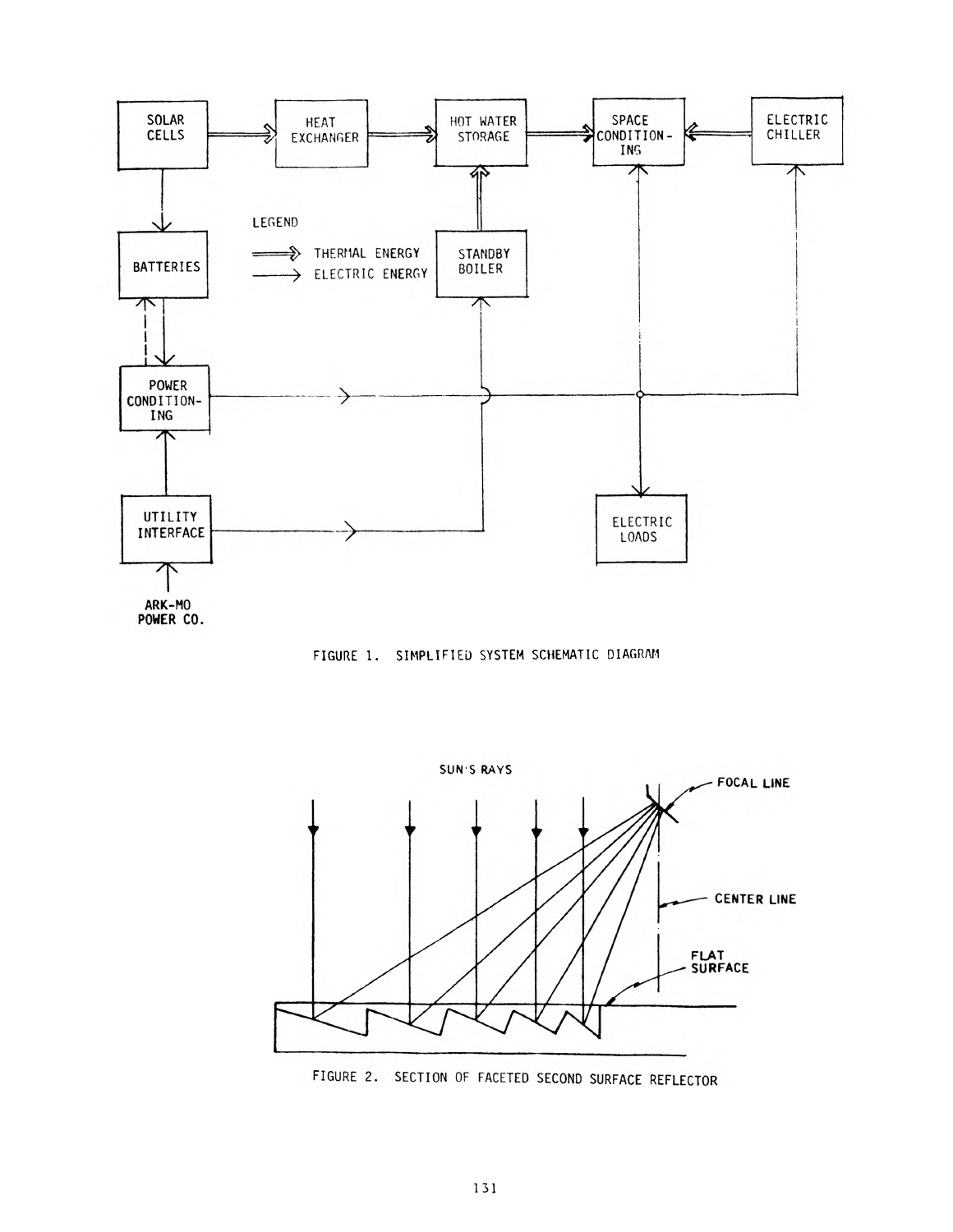

FIGURE 1. SIMPLIFIED SYSTEM SCHEMATIC DIAGRAM



FIGURE 2. SECTION OF FACETED SECOND SURFACE REFLECTOR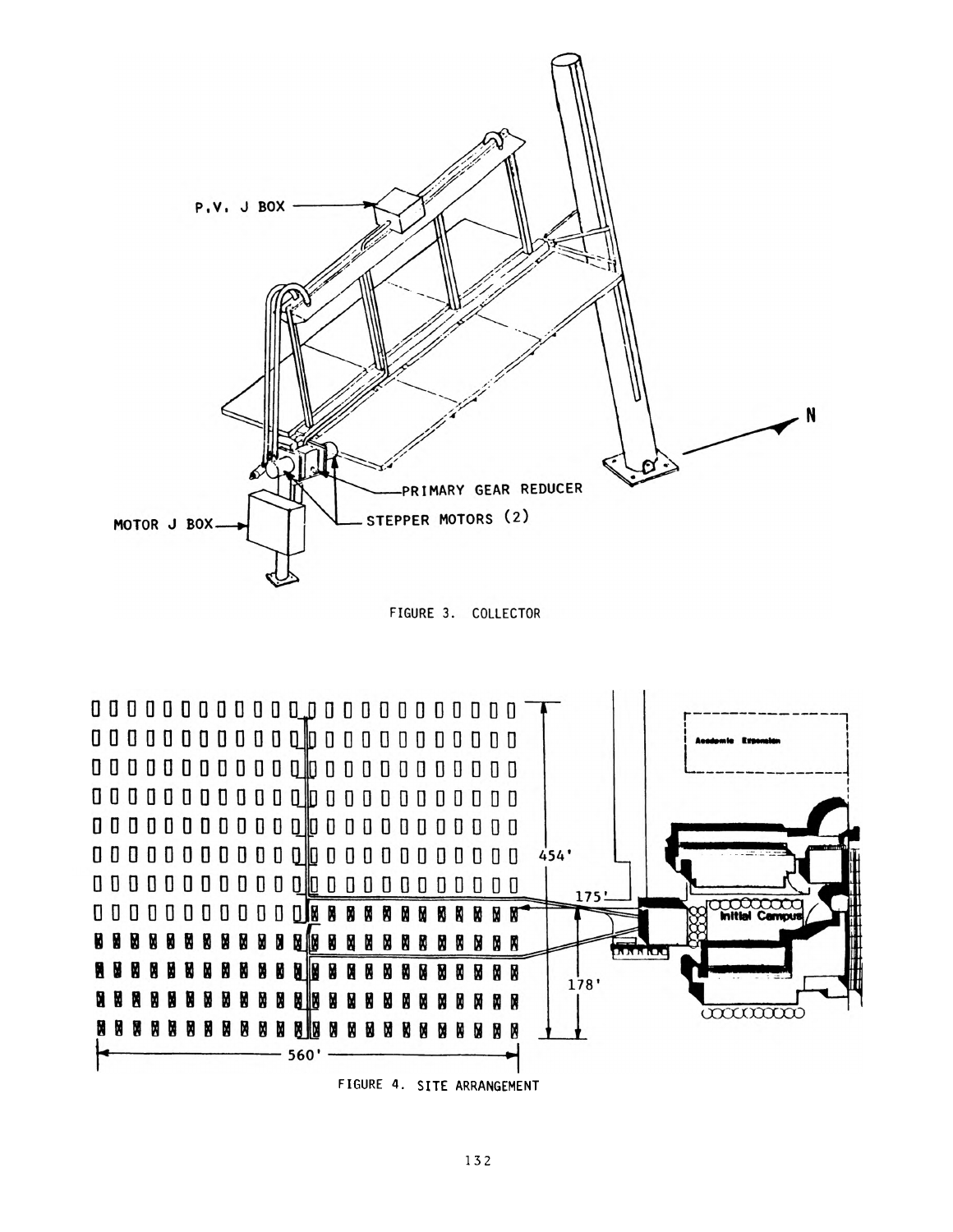

FIGURE 3. COLLECTOR



FIGURE 4. SITE ARRANGEMENT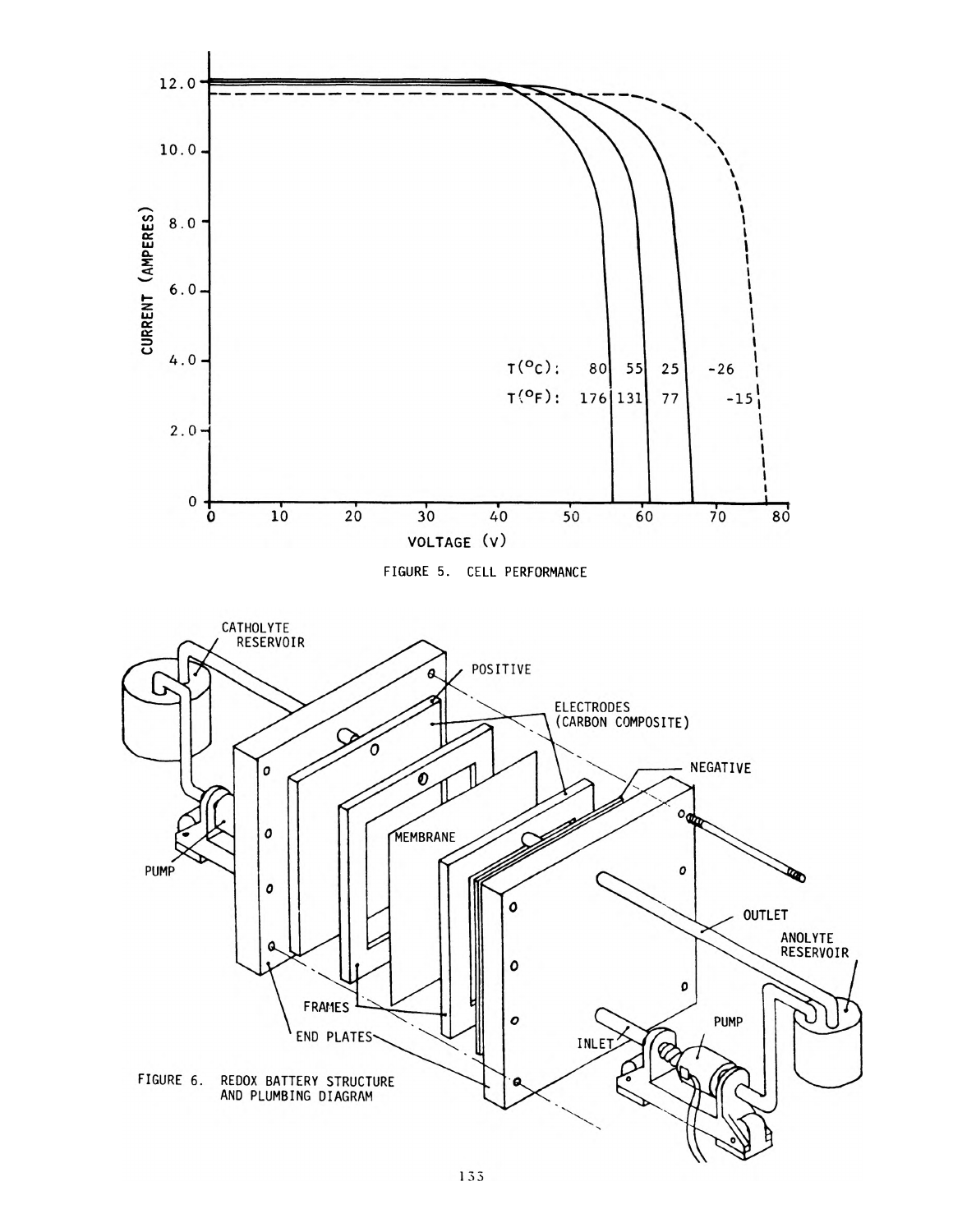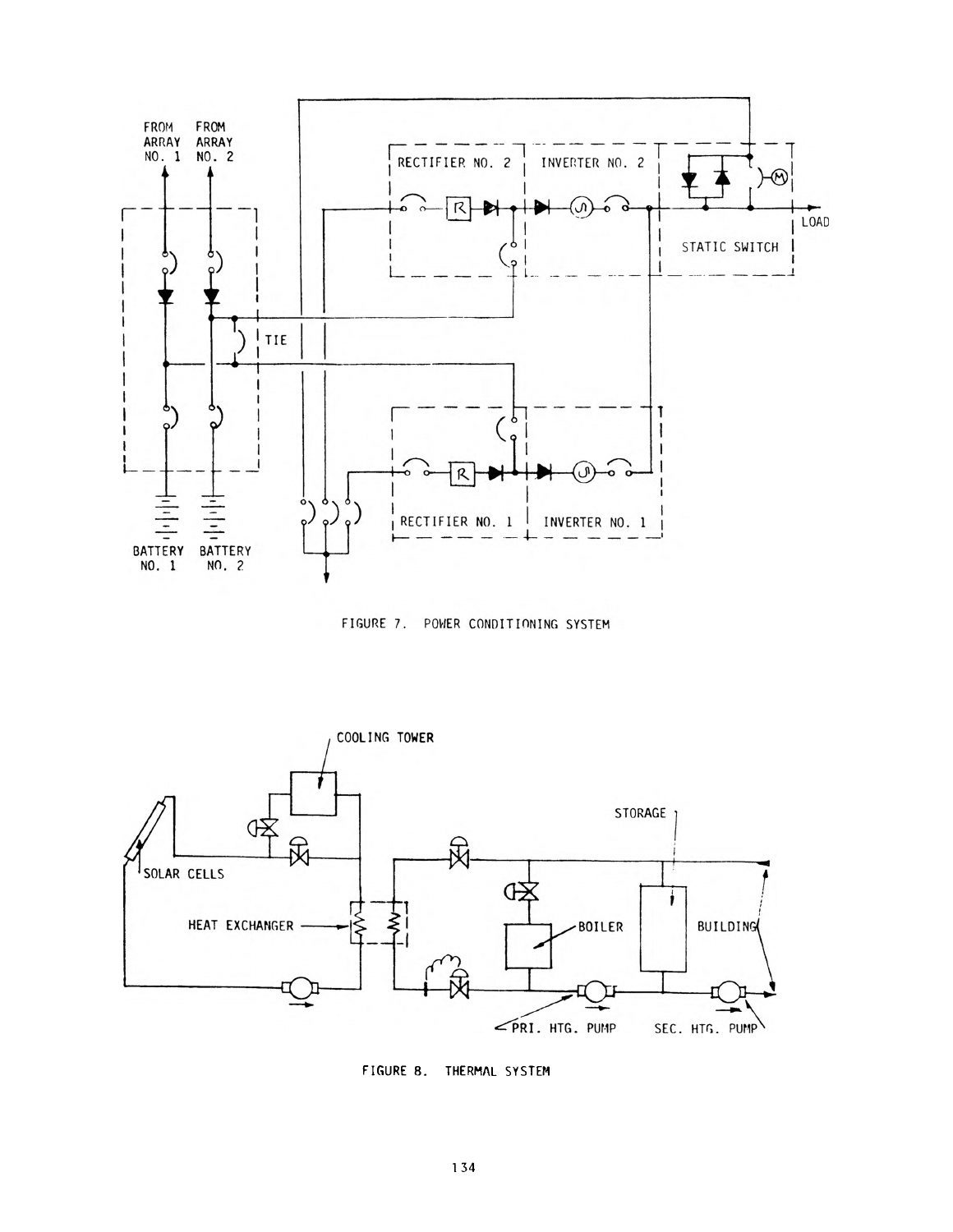

FIGURE 7. POWER CONDITIONING SYSTEM



FIGURE 8. THERMAL SYSTEM